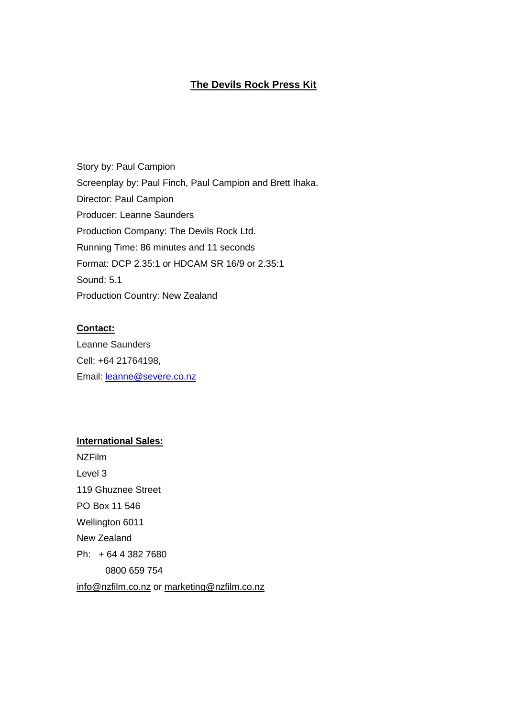# **The Devils Rock Press Kit**

Story by: Paul Campion Screenplay by: Paul Finch, Paul Campion and Brett Ihaka. Director: Paul Campion Producer: Leanne Saunders Production Company: The Devils Rock Ltd. Running Time: 86 minutes and 11 seconds Format: DCP 2.35:1 or HDCAM SR 16/9 or 2.35:1 Sound: 5.1 Production Country: New Zealand

# **Contact:**

Leanne Saunders Cell: +64 21764198, Email: [leanne@severe.co.nz](mailto:leanne@severe.co.nz)

# **International Sales:**

NZFilm Level 3 119 Ghuznee Street PO Box 11 546 Wellington 6011 New Zealand Ph: + 64 4 382 7680 0800 659 754 [info@nzfilm.co.nz](mailto:info@nzfilm.co.nz) or [marketing@nzfilm.co.nz](mailto:marketing@nzfilm.co.nz)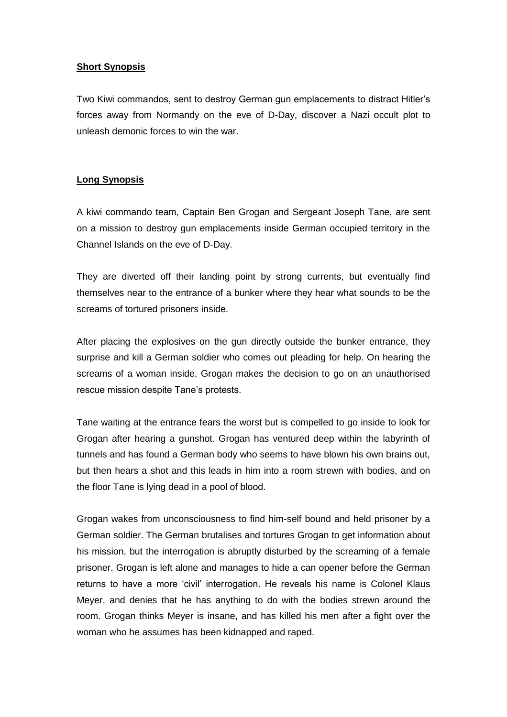# **Short Synopsis**

Two Kiwi commandos, sent to destroy German gun emplacements to distract Hitler"s forces away from Normandy on the eve of D-Day, discover a Nazi occult plot to unleash demonic forces to win the war.

# **Long Synopsis**

A kiwi commando team, Captain Ben Grogan and Sergeant Joseph Tane, are sent on a mission to destroy gun emplacements inside German occupied territory in the Channel Islands on the eve of D-Day.

They are diverted off their landing point by strong currents, but eventually find themselves near to the entrance of a bunker where they hear what sounds to be the screams of tortured prisoners inside.

After placing the explosives on the gun directly outside the bunker entrance, they surprise and kill a German soldier who comes out pleading for help. On hearing the screams of a woman inside, Grogan makes the decision to go on an unauthorised rescue mission despite Tane's protests.

Tane waiting at the entrance fears the worst but is compelled to go inside to look for Grogan after hearing a gunshot. Grogan has ventured deep within the labyrinth of tunnels and has found a German body who seems to have blown his own brains out, but then hears a shot and this leads in him into a room strewn with bodies, and on the floor Tane is lying dead in a pool of blood.

Grogan wakes from unconsciousness to find him-self bound and held prisoner by a German soldier. The German brutalises and tortures Grogan to get information about his mission, but the interrogation is abruptly disturbed by the screaming of a female prisoner. Grogan is left alone and manages to hide a can opener before the German returns to have a more "civil" interrogation. He reveals his name is Colonel Klaus Meyer, and denies that he has anything to do with the bodies strewn around the room. Grogan thinks Meyer is insane, and has killed his men after a fight over the woman who he assumes has been kidnapped and raped.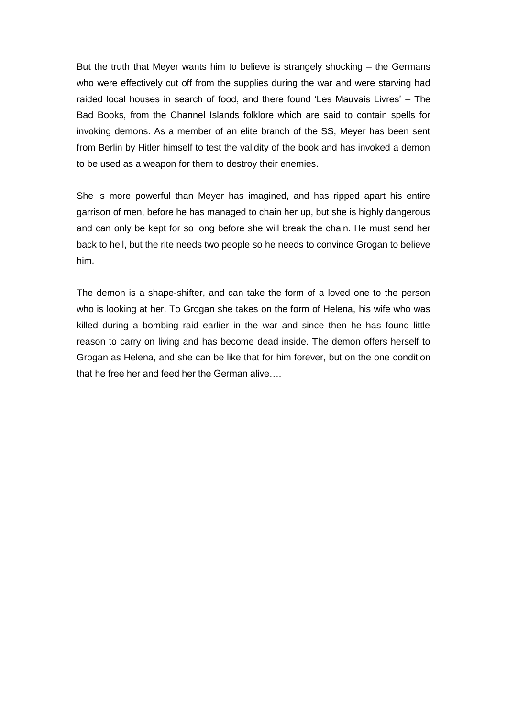But the truth that Meyer wants him to believe is strangely shocking – the Germans who were effectively cut off from the supplies during the war and were starving had raided local houses in search of food, and there found "Les Mauvais Livres" – The Bad Books, from the Channel Islands folklore which are said to contain spells for invoking demons. As a member of an elite branch of the SS, Meyer has been sent from Berlin by Hitler himself to test the validity of the book and has invoked a demon to be used as a weapon for them to destroy their enemies.

She is more powerful than Meyer has imagined, and has ripped apart his entire garrison of men, before he has managed to chain her up, but she is highly dangerous and can only be kept for so long before she will break the chain. He must send her back to hell, but the rite needs two people so he needs to convince Grogan to believe him.

The demon is a shape-shifter, and can take the form of a loved one to the person who is looking at her. To Grogan she takes on the form of Helena, his wife who was killed during a bombing raid earlier in the war and since then he has found little reason to carry on living and has become dead inside. The demon offers herself to Grogan as Helena, and she can be like that for him forever, but on the one condition that he free her and feed her the German alive….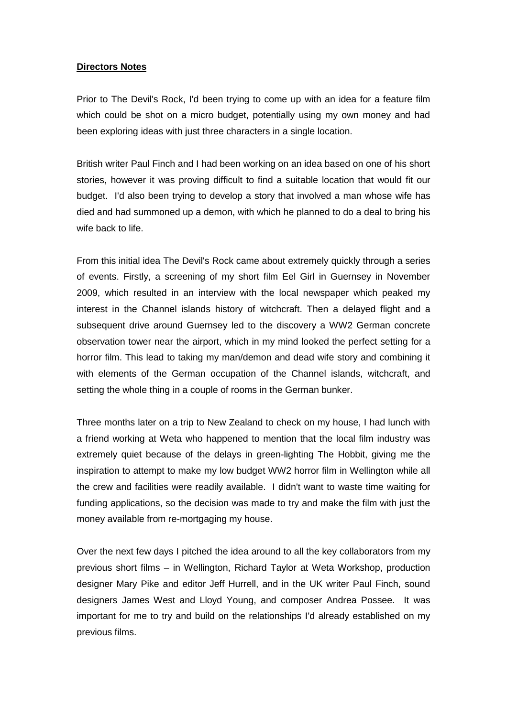# **Directors Notes**

Prior to The Devil's Rock, I'd been trying to come up with an idea for a feature film which could be shot on a micro budget, potentially using my own money and had been exploring ideas with just three characters in a single location.

British writer Paul Finch and I had been working on an idea based on one of his short stories, however it was proving difficult to find a suitable location that would fit our budget. I'd also been trying to develop a story that involved a man whose wife has died and had summoned up a demon, with which he planned to do a deal to bring his wife back to life.

From this initial idea The Devil's Rock came about extremely quickly through a series of events. Firstly, a screening of my short film Eel Girl in Guernsey in November 2009, which resulted in an interview with the local newspaper which peaked my interest in the Channel islands history of witchcraft. Then a delayed flight and a subsequent drive around Guernsey led to the discovery a WW2 German concrete observation tower near the airport, which in my mind looked the perfect setting for a horror film. This lead to taking my man/demon and dead wife story and combining it with elements of the German occupation of the Channel islands, witchcraft, and setting the whole thing in a couple of rooms in the German bunker.

Three months later on a trip to New Zealand to check on my house, I had lunch with a friend working at Weta who happened to mention that the local film industry was extremely quiet because of the delays in green-lighting The Hobbit, giving me the inspiration to attempt to make my low budget WW2 horror film in Wellington while all the crew and facilities were readily available. I didn't want to waste time waiting for funding applications, so the decision was made to try and make the film with just the money available from re-mortgaging my house.

Over the next few days I pitched the idea around to all the key collaborators from my previous short films – in Wellington, Richard Taylor at Weta Workshop, production designer Mary Pike and editor Jeff Hurrell, and in the UK writer Paul Finch, sound designers James West and Lloyd Young, and composer Andrea Possee. It was important for me to try and build on the relationships I'd already established on my previous films.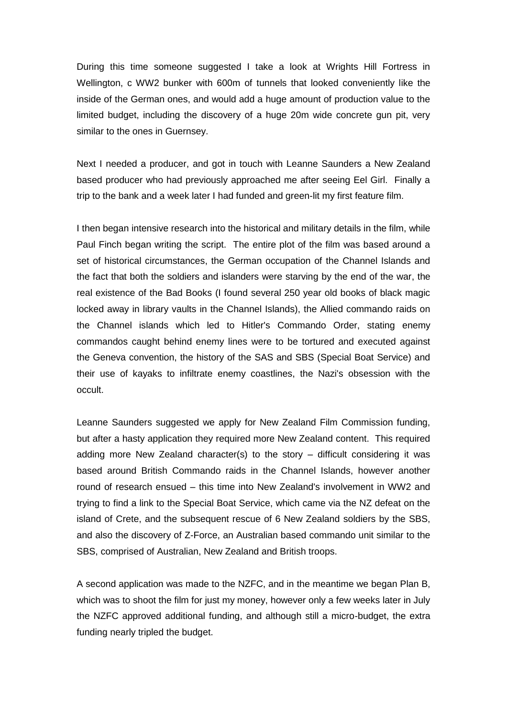During this time someone suggested I take a look at Wrights Hill Fortress in Wellington, c WW2 bunker with 600m of tunnels that looked conveniently like the inside of the German ones, and would add a huge amount of production value to the limited budget, including the discovery of a huge 20m wide concrete gun pit, very similar to the ones in Guernsey.

Next I needed a producer, and got in touch with Leanne Saunders a New Zealand based producer who had previously approached me after seeing Eel Girl. Finally a trip to the bank and a week later I had funded and green-lit my first feature film.

I then began intensive research into the historical and military details in the film, while Paul Finch began writing the script. The entire plot of the film was based around a set of historical circumstances, the German occupation of the Channel Islands and the fact that both the soldiers and islanders were starving by the end of the war, the real existence of the Bad Books (I found several 250 year old books of black magic locked away in library vaults in the Channel Islands), the Allied commando raids on the Channel islands which led to Hitler's Commando Order, stating enemy commandos caught behind enemy lines were to be tortured and executed against the Geneva convention, the history of the SAS and SBS (Special Boat Service) and their use of kayaks to infiltrate enemy coastlines, the Nazi's obsession with the occult.

Leanne Saunders suggested we apply for New Zealand Film Commission funding, but after a hasty application they required more New Zealand content. This required adding more New Zealand character(s) to the story – difficult considering it was based around British Commando raids in the Channel Islands, however another round of research ensued – this time into New Zealand's involvement in WW2 and trying to find a link to the Special Boat Service, which came via the NZ defeat on the island of Crete, and the subsequent rescue of 6 New Zealand soldiers by the SBS, and also the discovery of Z-Force, an Australian based commando unit similar to the SBS, comprised of Australian, New Zealand and British troops.

A second application was made to the NZFC, and in the meantime we began Plan B, which was to shoot the film for just my money, however only a few weeks later in July the NZFC approved additional funding, and although still a micro-budget, the extra funding nearly tripled the budget.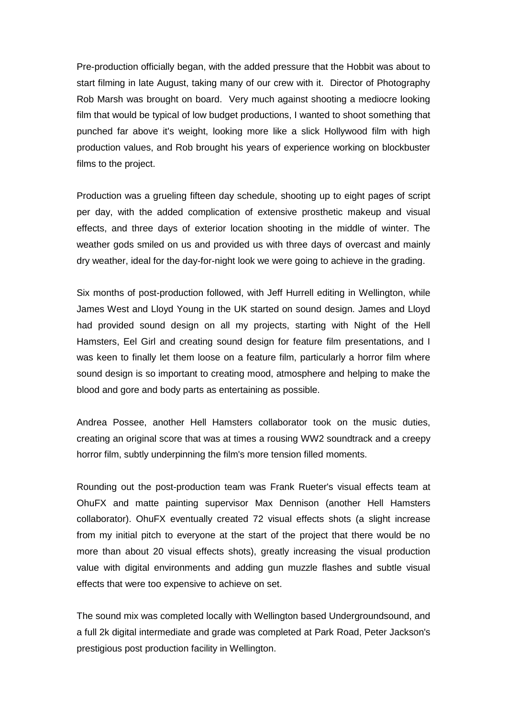Pre-production officially began, with the added pressure that the Hobbit was about to start filming in late August, taking many of our crew with it. Director of Photography Rob Marsh was brought on board. Very much against shooting a mediocre looking film that would be typical of low budget productions, I wanted to shoot something that punched far above it's weight, looking more like a slick Hollywood film with high production values, and Rob brought his years of experience working on blockbuster films to the project.

Production was a grueling fifteen day schedule, shooting up to eight pages of script per day, with the added complication of extensive prosthetic makeup and visual effects, and three days of exterior location shooting in the middle of winter. The weather gods smiled on us and provided us with three days of overcast and mainly dry weather, ideal for the day-for-night look we were going to achieve in the grading.

Six months of post-production followed, with Jeff Hurrell editing in Wellington, while James West and Lloyd Young in the UK started on sound design. James and Lloyd had provided sound design on all my projects, starting with Night of the Hell Hamsters, Eel Girl and creating sound design for feature film presentations, and I was keen to finally let them loose on a feature film, particularly a horror film where sound design is so important to creating mood, atmosphere and helping to make the blood and gore and body parts as entertaining as possible.

Andrea Possee, another Hell Hamsters collaborator took on the music duties, creating an original score that was at times a rousing WW2 soundtrack and a creepy horror film, subtly underpinning the film's more tension filled moments.

Rounding out the post-production team was Frank Rueter's visual effects team at OhuFX and matte painting supervisor Max Dennison (another Hell Hamsters collaborator). OhuFX eventually created 72 visual effects shots (a slight increase from my initial pitch to everyone at the start of the project that there would be no more than about 20 visual effects shots), greatly increasing the visual production value with digital environments and adding gun muzzle flashes and subtle visual effects that were too expensive to achieve on set.

The sound mix was completed locally with Wellington based Undergroundsound, and a full 2k digital intermediate and grade was completed at Park Road, Peter Jackson's prestigious post production facility in Wellington.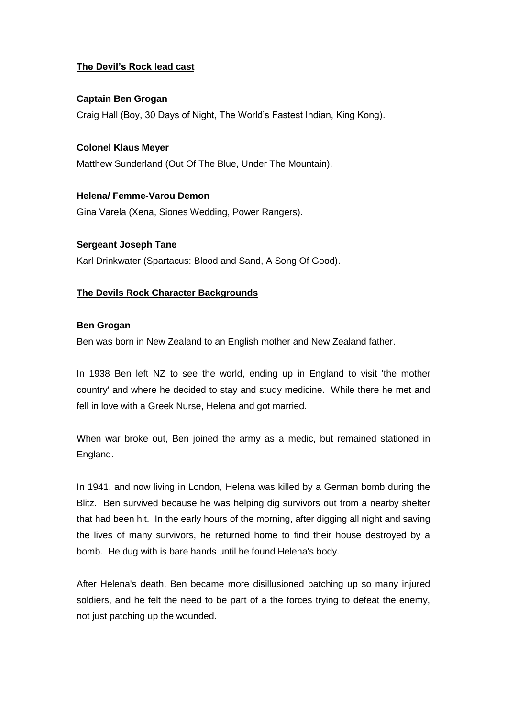# **The Devil's Rock lead cast**

# **Captain Ben Grogan**

Craig Hall (Boy, 30 Days of Night, The World"s Fastest Indian, King Kong).

**Colonel Klaus Meyer** Matthew Sunderland (Out Of The Blue, Under The Mountain).

**Helena/ Femme-Varou Demon** Gina Varela (Xena, Siones Wedding, Power Rangers).

**Sergeant Joseph Tane** Karl Drinkwater (Spartacus: Blood and Sand, A Song Of Good).

# **The Devils Rock Character Backgrounds**

## **Ben Grogan**

Ben was born in New Zealand to an English mother and New Zealand father.

In 1938 Ben left NZ to see the world, ending up in England to visit 'the mother country' and where he decided to stay and study medicine. While there he met and fell in love with a Greek Nurse, Helena and got married.

When war broke out, Ben joined the army as a medic, but remained stationed in England.

In 1941, and now living in London, Helena was killed by a German bomb during the Blitz. Ben survived because he was helping dig survivors out from a nearby shelter that had been hit. In the early hours of the morning, after digging all night and saving the lives of many survivors, he returned home to find their house destroyed by a bomb. He dug with is bare hands until he found Helena's body.

After Helena's death, Ben became more disillusioned patching up so many injured soldiers, and he felt the need to be part of a the forces trying to defeat the enemy, not just patching up the wounded.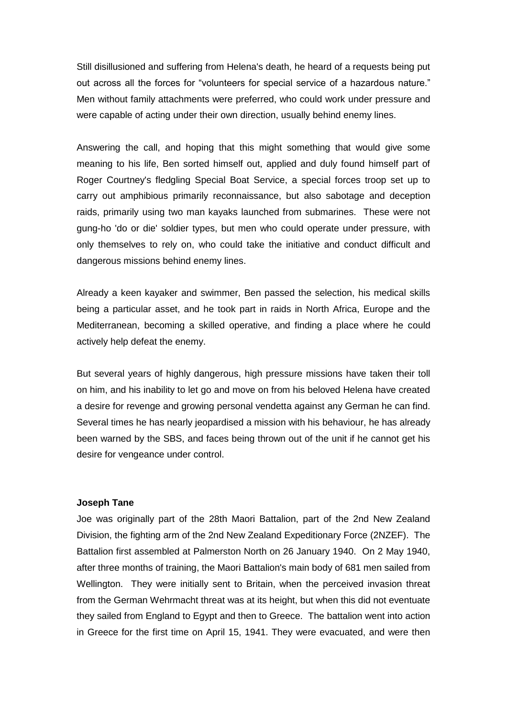Still disillusioned and suffering from Helena's death, he heard of a requests being put out across all the forces for "volunteers for special service of a hazardous nature." Men without family attachments were preferred, who could work under pressure and were capable of acting under their own direction, usually behind enemy lines.

Answering the call, and hoping that this might something that would give some meaning to his life, Ben sorted himself out, applied and duly found himself part of Roger Courtney's fledgling Special Boat Service, a special forces troop set up to carry out amphibious primarily reconnaissance, but also sabotage and deception raids, primarily using two man kayaks launched from submarines. These were not gung-ho 'do or die' soldier types, but men who could operate under pressure, with only themselves to rely on, who could take the initiative and conduct difficult and dangerous missions behind enemy lines.

Already a keen kayaker and swimmer, Ben passed the selection, his medical skills being a particular asset, and he took part in raids in North Africa, Europe and the Mediterranean, becoming a skilled operative, and finding a place where he could actively help defeat the enemy.

But several years of highly dangerous, high pressure missions have taken their toll on him, and his inability to let go and move on from his beloved Helena have created a desire for revenge and growing personal vendetta against any German he can find. Several times he has nearly jeopardised a mission with his behaviour, he has already been warned by the SBS, and faces being thrown out of the unit if he cannot get his desire for vengeance under control.

### **Joseph Tane**

Joe was originally part of the 28th Maori Battalion, part of the 2nd New Zealand Division, the fighting arm of the 2nd New Zealand Expeditionary Force (2NZEF). The Battalion first assembled at Palmerston North on 26 January 1940. On 2 May 1940, after three months of training, the Maori Battalion's main body of 681 men sailed from Wellington. They were initially sent to Britain, when the perceived invasion threat from the German Wehrmacht threat was at its height, but when this did not eventuate they sailed from England to Egypt and then to Greece. The battalion went into action in Greece for the first time on April 15, 1941. They were evacuated, and were then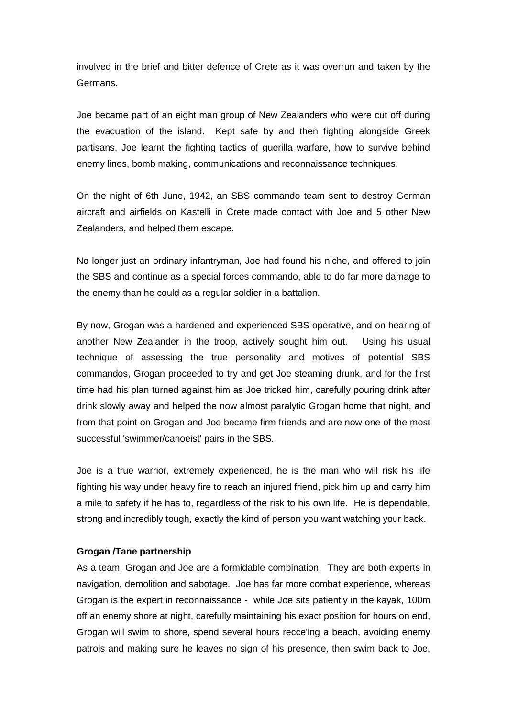involved in the brief and bitter defence of Crete as it was overrun and taken by the Germans.

Joe became part of an eight man group of New Zealanders who were cut off during the evacuation of the island. Kept safe by and then fighting alongside Greek partisans, Joe learnt the fighting tactics of guerilla warfare, how to survive behind enemy lines, bomb making, communications and reconnaissance techniques.

On the night of 6th June, 1942, an SBS commando team sent to destroy German aircraft and airfields on Kastelli in Crete made contact with Joe and 5 other New Zealanders, and helped them escape.

No longer just an ordinary infantryman, Joe had found his niche, and offered to join the SBS and continue as a special forces commando, able to do far more damage to the enemy than he could as a regular soldier in a battalion.

By now, Grogan was a hardened and experienced SBS operative, and on hearing of another New Zealander in the troop, actively sought him out. Using his usual technique of assessing the true personality and motives of potential SBS commandos, Grogan proceeded to try and get Joe steaming drunk, and for the first time had his plan turned against him as Joe tricked him, carefully pouring drink after drink slowly away and helped the now almost paralytic Grogan home that night, and from that point on Grogan and Joe became firm friends and are now one of the most successful 'swimmer/canoeist' pairs in the SBS.

Joe is a true warrior, extremely experienced, he is the man who will risk his life fighting his way under heavy fire to reach an injured friend, pick him up and carry him a mile to safety if he has to, regardless of the risk to his own life. He is dependable, strong and incredibly tough, exactly the kind of person you want watching your back.

## **Grogan /Tane partnership**

As a team, Grogan and Joe are a formidable combination. They are both experts in navigation, demolition and sabotage. Joe has far more combat experience, whereas Grogan is the expert in reconnaissance - while Joe sits patiently in the kayak, 100m off an enemy shore at night, carefully maintaining his exact position for hours on end, Grogan will swim to shore, spend several hours recce'ing a beach, avoiding enemy patrols and making sure he leaves no sign of his presence, then swim back to Joe,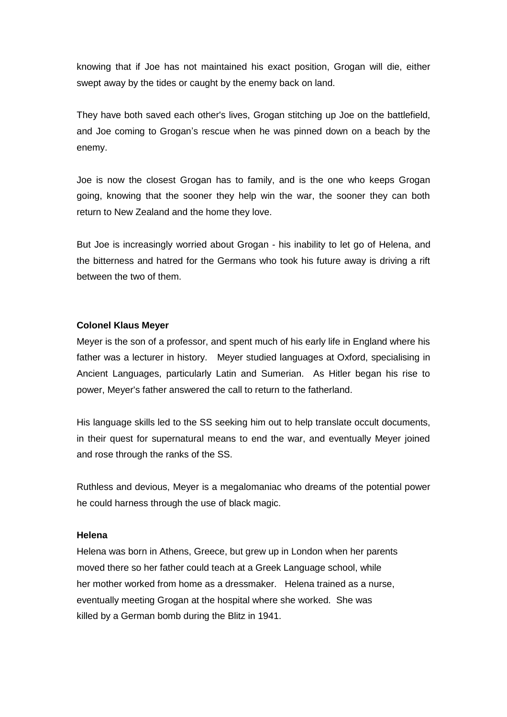knowing that if Joe has not maintained his exact position, Grogan will die, either swept away by the tides or caught by the enemy back on land.

They have both saved each other's lives, Grogan stitching up Joe on the battlefield, and Joe coming to Grogan"s rescue when he was pinned down on a beach by the enemy.

Joe is now the closest Grogan has to family, and is the one who keeps Grogan going, knowing that the sooner they help win the war, the sooner they can both return to New Zealand and the home they love.

But Joe is increasingly worried about Grogan - his inability to let go of Helena, and the bitterness and hatred for the Germans who took his future away is driving a rift between the two of them.

## **Colonel Klaus Meyer**

Meyer is the son of a professor, and spent much of his early life in England where his father was a lecturer in history. Meyer studied languages at Oxford, specialising in Ancient Languages, particularly Latin and Sumerian. As Hitler began his rise to power, Meyer's father answered the call to return to the fatherland.

His language skills led to the SS seeking him out to help translate occult documents, in their quest for supernatural means to end the war, and eventually Meyer joined and rose through the ranks of the SS.

Ruthless and devious, Meyer is a megalomaniac who dreams of the potential power he could harness through the use of black magic.

# **Helena**

Helena was born in Athens, Greece, but grew up in London when her parents moved there so her father could teach at a Greek Language school, while her mother worked from home as a dressmaker. Helena trained as a nurse, eventually meeting Grogan at the hospital where she worked. She was killed by a German bomb during the Blitz in 1941.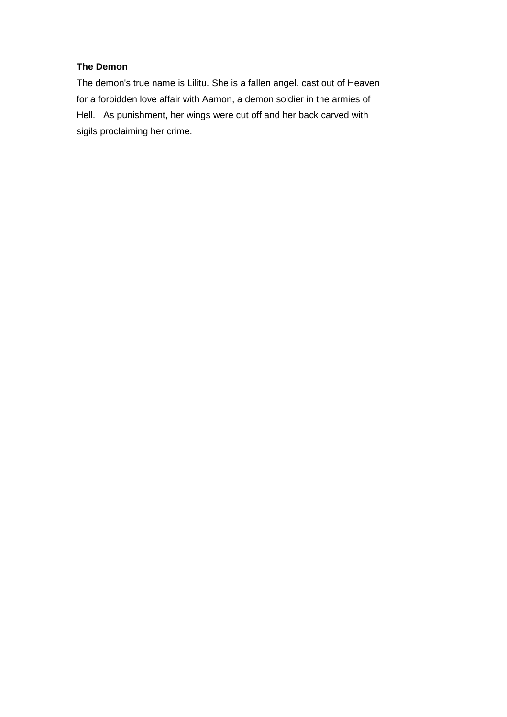# **The Demon**

The demon's true name is Lilitu. She is a fallen angel, cast out of Heaven for a forbidden love affair with Aamon, a demon soldier in the armies of Hell. As punishment, her wings were cut off and her back carved with sigils proclaiming her crime.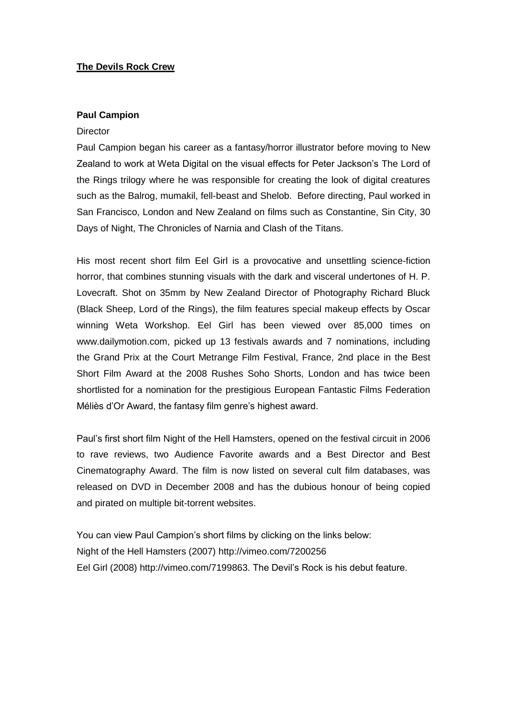# **The Devils Rock Crew**

## **Paul Campion**

#### **Director**

Paul Campion began his career as a fantasy/horror illustrator before moving to New Zealand to work at Weta Digital on the visual effects for Peter Jackson"s The Lord of the Rings trilogy where he was responsible for creating the look of digital creatures such as the Balrog, mumakil, fell-beast and Shelob. Before directing, Paul worked in San Francisco, London and New Zealand on films such as Constantine, Sin City, 30 Days of Night, The Chronicles of Narnia and Clash of the Titans.

His most recent short film Eel Girl is a provocative and unsettling science-fiction horror, that combines stunning visuals with the dark and visceral undertones of H. P. Lovecraft. Shot on 35mm by New Zealand Director of Photography Richard Bluck (Black Sheep, Lord of the Rings), the film features special makeup effects by Oscar winning Weta Workshop. Eel Girl has been viewed over 85,000 times on www.dailymotion.com, picked up 13 festivals awards and 7 nominations, including the Grand Prix at the Court Metrange Film Festival, France, 2nd place in the Best Short Film Award at the 2008 Rushes Soho Shorts, London and has twice been shortlisted for a nomination for the prestigious European Fantastic Films Federation Méliès d"Or Award, the fantasy film genre"s highest award.

Paul"s first short film Night of the Hell Hamsters, opened on the festival circuit in 2006 to rave reviews, two Audience Favorite awards and a Best Director and Best Cinematography Award. The film is now listed on several cult film databases, was released on DVD in December 2008 and has the dubious honour of being copied and pirated on multiple bit-torrent websites.

You can view Paul Campion's short films by clicking on the links below: Night of the Hell Hamsters (2007)<http://vimeo.com/7200256> Eel Girl (2008) [http://vimeo.com/7199863.](http://vimeo.com/7199863) The Devil"s Rock is his debut feature.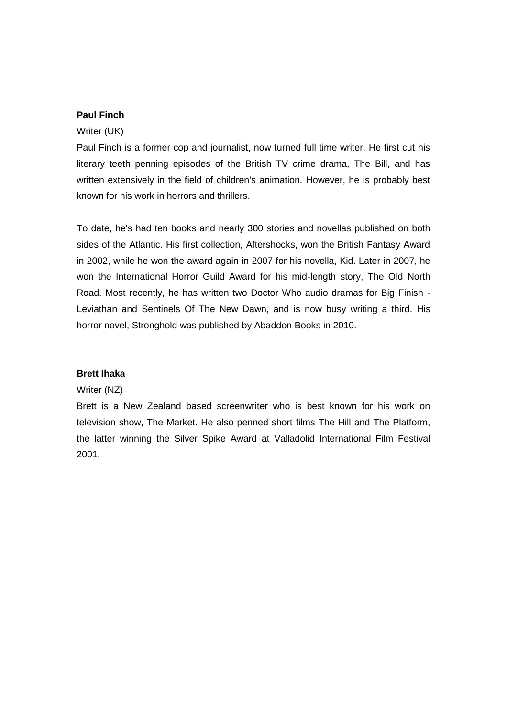# **Paul Finch**

### Writer (UK)

Paul Finch is a former cop and journalist, now turned full time writer. He first cut his literary teeth penning episodes of the British TV crime drama, The Bill, and has written extensively in the field of children's animation. However, he is probably best known for his work in horrors and thrillers.

To date, he's had ten books and nearly 300 stories and novellas published on both sides of the Atlantic. His first collection, Aftershocks, won the British Fantasy Award in 2002, while he won the award again in 2007 for his novella, Kid. Later in 2007, he won the International Horror Guild Award for his mid-length story, The Old North Road. Most recently, he has written two Doctor Who audio dramas for Big Finish - Leviathan and Sentinels Of The New Dawn, and is now busy writing a third. His horror novel, Stronghold was published by Abaddon Books in 2010.

## **Brett Ihaka**

### Writer (NZ)

Brett is a New Zealand based screenwriter who is best known for his work on television show, The Market. He also penned short films The Hill and The Platform, the latter winning the Silver Spike Award at Valladolid International Film Festival 2001.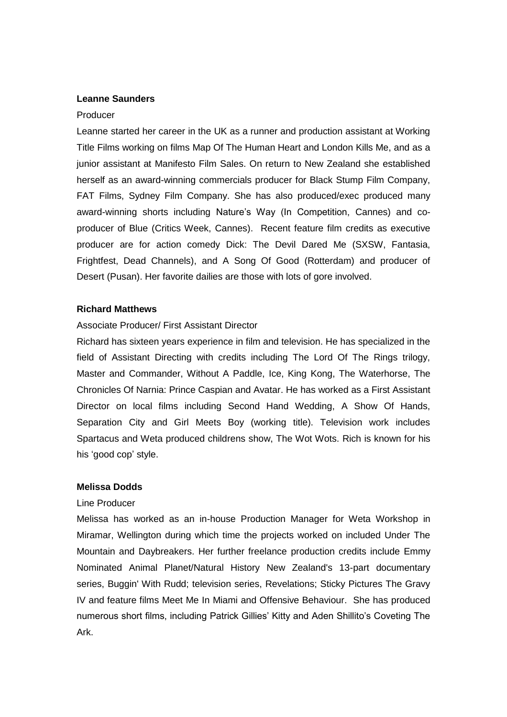# **Leanne Saunders**

#### Producer

Leanne started her career in the UK as a runner and production assistant at Working Title Films working on films Map Of The Human Heart and London Kills Me, and as a junior assistant at Manifesto Film Sales. On return to New Zealand she established herself as an award-winning commercials producer for Black Stump Film Company, FAT Films, Sydney Film Company. She has also produced/exec produced many award-winning shorts including Nature's Way (In Competition, Cannes) and coproducer of Blue (Critics Week, Cannes). Recent feature film credits as executive producer are for action comedy Dick: The Devil Dared Me (SXSW, Fantasia, Frightfest, Dead Channels), and A Song Of Good (Rotterdam) and producer of Desert (Pusan). Her favorite dailies are those with lots of gore involved.

#### **Richard Matthews**

## Associate Producer/ First Assistant Director

Richard has sixteen years experience in film and television. He has specialized in the field of Assistant Directing with credits including The Lord Of The Rings trilogy, Master and Commander, Without A Paddle, Ice, King Kong, The Waterhorse, The Chronicles Of Narnia: Prince Caspian and Avatar. He has worked as a First Assistant Director on local films including Second Hand Wedding, A Show Of Hands, Separation City and Girl Meets Boy (working title). Television work includes Spartacus and Weta produced childrens show, The Wot Wots. Rich is known for his his 'good cop' style.

### **Melissa Dodds**

#### Line Producer

Melissa has worked as an in-house Production Manager for Weta Workshop in Miramar, Wellington during which time the projects worked on included Under The Mountain and Daybreakers. Her further freelance production credits include Emmy Nominated Animal Planet/Natural History New Zealand's 13-part documentary series, Buggin' With Rudd; television series, Revelations; Sticky Pictures The Gravy IV and feature films Meet Me In Miami and Offensive Behaviour. She has produced numerous short films, including Patrick Gillies" Kitty and Aden Shillito"s Coveting The Ark.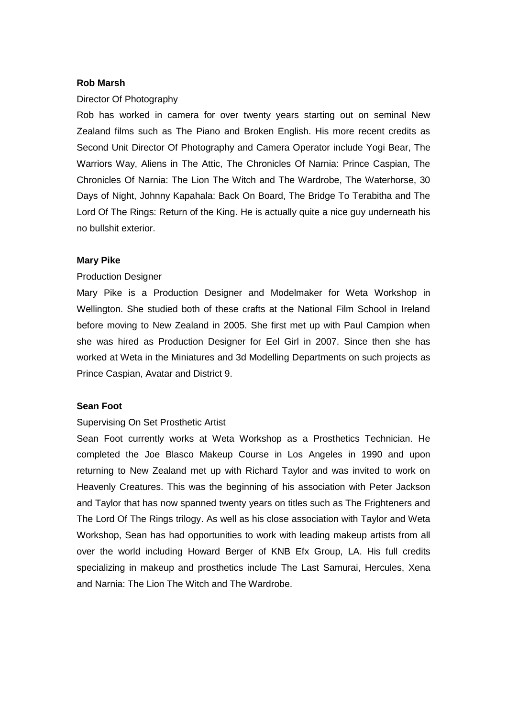# **Rob Marsh**

# Director Of Photography

Rob has worked in camera for over twenty years starting out on seminal New Zealand films such as The Piano and Broken English. His more recent credits as Second Unit Director Of Photography and Camera Operator include Yogi Bear, The Warriors Way, Aliens in The Attic, The Chronicles Of Narnia: Prince Caspian, The Chronicles Of Narnia: The Lion The Witch and The Wardrobe, The Waterhorse, 30 Days of Night, Johnny Kapahala: Back On Board, The Bridge To Terabitha and The Lord Of The Rings: Return of the King. He is actually quite a nice guy underneath his no bullshit exterior.

## **Mary Pike**

## Production Designer

Mary Pike is a Production Designer and Modelmaker for Weta Workshop in Wellington. She studied both of these crafts at the National Film School in Ireland before moving to New Zealand in 2005. She first met up with Paul Campion when she was hired as Production Designer for Eel Girl in 2007. Since then she has worked at Weta in the Miniatures and 3d Modelling Departments on such projects as Prince Caspian, Avatar and District 9.

# **Sean Foot**

## Supervising On Set Prosthetic Artist

Sean Foot currently works at Weta Workshop as a Prosthetics Technician. He completed the Joe Blasco Makeup Course in Los Angeles in 1990 and upon returning to New Zealand met up with Richard Taylor and was invited to work on Heavenly Creatures. This was the beginning of his association with Peter Jackson and Taylor that has now spanned twenty years on titles such as The Frighteners and The Lord Of The Rings trilogy. As well as his close association with Taylor and Weta Workshop, Sean has had opportunities to work with leading makeup artists from all over the world including Howard Berger of KNB Efx Group, LA. His full credits specializing in makeup and prosthetics include The Last Samurai, Hercules, Xena and Narnia: The Lion The Witch and The Wardrobe.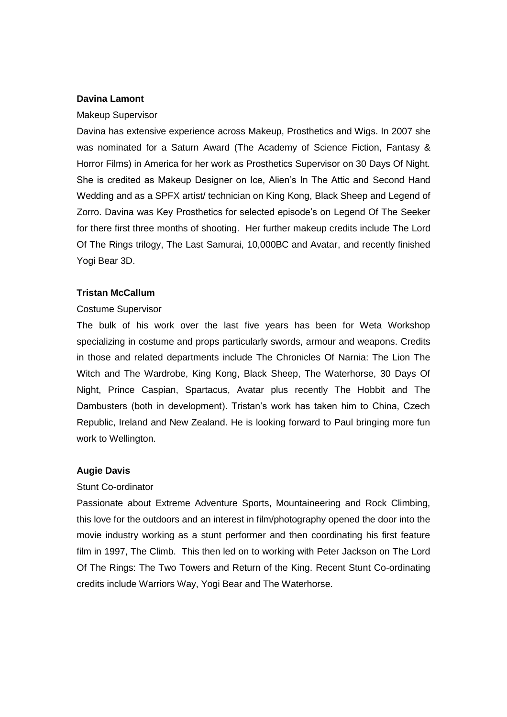## **Davina Lamont**

### Makeup Supervisor

Davina has extensive experience across Makeup, Prosthetics and Wigs. In 2007 she was nominated for a Saturn Award (The Academy of Science Fiction, Fantasy & Horror Films) in America for her work as Prosthetics Supervisor on 30 Days Of Night. She is credited as Makeup Designer on Ice, Alien"s In The Attic and Second Hand Wedding and as a SPFX artist/ technician on King Kong, Black Sheep and Legend of Zorro. Davina was Key Prosthetics for selected episode"s on Legend Of The Seeker for there first three months of shooting. Her further makeup credits include The Lord Of The Rings trilogy, The Last Samurai, 10,000BC and Avatar, and recently finished Yogi Bear 3D.

## **Tristan McCallum**

### Costume Supervisor

The bulk of his work over the last five years has been for Weta Workshop specializing in costume and props particularly swords, armour and weapons. Credits in those and related departments include The Chronicles Of Narnia: The Lion The Witch and The Wardrobe, King Kong, Black Sheep, The Waterhorse, 30 Days Of Night, Prince Caspian, Spartacus, Avatar plus recently The Hobbit and The Dambusters (both in development). Tristan's work has taken him to China, Czech Republic, Ireland and New Zealand. He is looking forward to Paul bringing more fun work to Wellington.

#### **Augie Davis**

#### Stunt Co-ordinator

Passionate about Extreme Adventure Sports, Mountaineering and Rock Climbing, this love for the outdoors and an interest in film/photography opened the door into the movie industry working as a stunt performer and then coordinating his first feature film in 1997, The Climb. This then led on to working with Peter Jackson on The Lord Of The Rings: The Two Towers and Return of the King. Recent Stunt Co-ordinating credits include Warriors Way, Yogi Bear and The Waterhorse.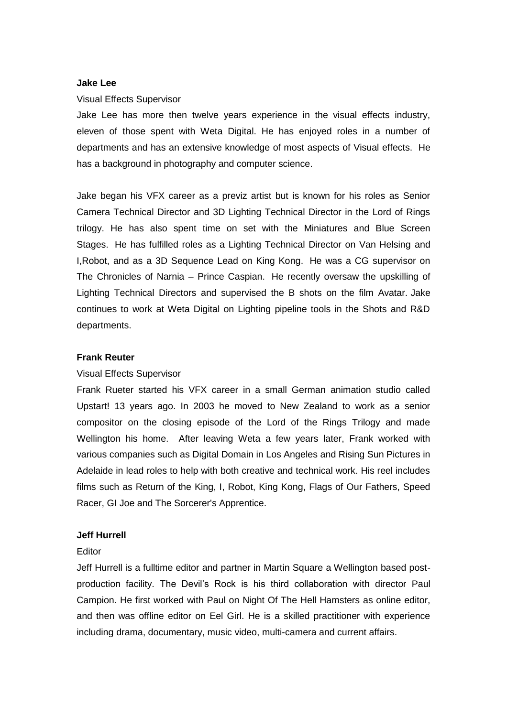### **Jake Lee**

#### Visual Effects Supervisor

Jake Lee has more then twelve years experience in the visual effects industry, eleven of those spent with Weta Digital. He has enjoyed roles in a number of departments and has an extensive knowledge of most aspects of Visual effects. He has a background in photography and computer science.

Jake began his VFX career as a previz artist but is known for his roles as Senior Camera Technical Director and 3D Lighting Technical Director in the Lord of Rings trilogy. He has also spent time on set with the Miniatures and Blue Screen Stages. He has fulfilled roles as a Lighting Technical Director on Van Helsing and I,Robot, and as a 3D Sequence Lead on King Kong. He was a CG supervisor on The Chronicles of Narnia – Prince Caspian. He recently oversaw the upskilling of Lighting Technical Directors and supervised the B shots on the film Avatar. Jake continues to work at Weta Digital on Lighting pipeline tools in the Shots and R&D departments.

### **Frank Reuter**

# Visual Effects Supervisor

Frank Rueter started his VFX career in a small German animation studio called Upstart! 13 years ago. In 2003 he moved to New Zealand to work as a senior compositor on the closing episode of the Lord of the Rings Trilogy and made Wellington his home. After leaving Weta a few years later, Frank worked with various companies such as Digital Domain in Los Angeles and Rising Sun Pictures in Adelaide in lead roles to help with both creative and technical work. His reel includes films such as Return of the King, I, Robot, King Kong, Flags of Our Fathers, Speed Racer, GI Joe and The Sorcerer's Apprentice.

#### **Jeff Hurrell**

#### **Editor**

Jeff Hurrell is a fulltime editor and partner in Martin Square a Wellington based postproduction facility. The Devil"s Rock is his third collaboration with director Paul Campion. He first worked with Paul on Night Of The Hell Hamsters as online editor, and then was offline editor on Eel Girl. He is a skilled practitioner with experience including drama, documentary, music video, multi-camera and current affairs.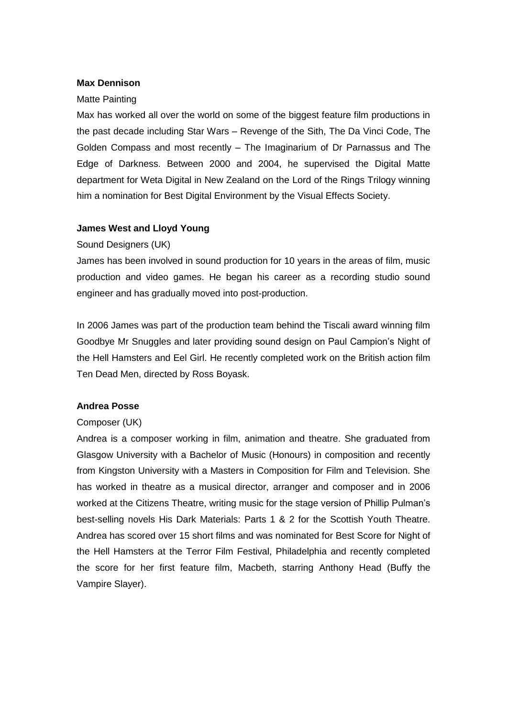## **Max Dennison**

#### Matte Painting

Max has worked all over the world on some of the biggest feature film productions in the past decade including Star Wars – Revenge of the Sith, The Da Vinci Code, The Golden Compass and most recently – The Imaginarium of Dr Parnassus and The Edge of Darkness. Between 2000 and 2004, he supervised the Digital Matte department for Weta Digital in New Zealand on the Lord of the Rings Trilogy winning him a nomination for Best Digital Environment by the Visual Effects Society.

## **James West and Lloyd Young**

Sound Designers (UK)

James has been involved in sound production for 10 years in the areas of film, music production and video games. He began his career as a recording studio sound engineer and has gradually moved into post-production.

In 2006 James was part of the production team behind the Tiscali award winning film Goodbye Mr Snuggles and later providing sound design on Paul Campion"s Night of the Hell Hamsters and Eel Girl. He recently completed work on the British action film Ten Dead Men, directed by Ross Boyask.

# **Andrea Posse**

## Composer (UK)

Andrea is a composer working in film, animation and theatre. She graduated from Glasgow University with a Bachelor of Music (Honours) in composition and recently from Kingston University with a Masters in Composition for Film and Television. She has worked in theatre as a musical director, arranger and composer and in 2006 worked at the Citizens Theatre, writing music for the stage version of Phillip Pulman"s best-selling novels His Dark Materials: Parts 1 & 2 for the Scottish Youth Theatre. Andrea has scored over 15 short films and was nominated for Best Score for Night of the Hell Hamsters at the Terror Film Festival, Philadelphia and recently completed the score for her first feature film, Macbeth, starring Anthony Head (Buffy the Vampire Slayer).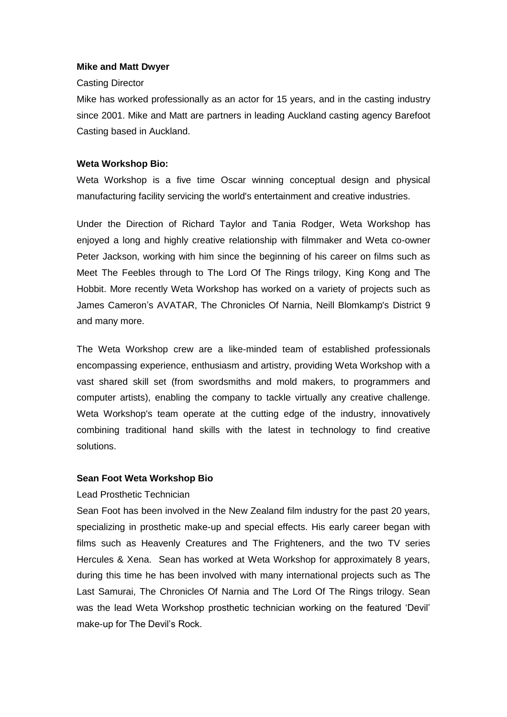# **Mike and Matt Dwyer**

## Casting Director

Mike has worked professionally as an actor for 15 years, and in the casting industry since 2001. Mike and Matt are partners in leading Auckland casting agency Barefoot Casting based in Auckland.

# **Weta Workshop Bio:**

Weta Workshop is a five time Oscar winning conceptual design and physical manufacturing facility servicing the world's entertainment and creative industries.

Under the Direction of [Richard Taylor](http://www.wetanz.com/richard-taylor/) and [Tania Rodger,](http://www.wetanz.com/tania-rodger/) Weta Workshop has enjoyed a long and highly creative relationship with filmmaker and Weta co-owner Peter Jackson, working with him since the beginning of his career on films such as Meet The Feebles through to The Lord Of The Rings trilogy, [King Kong](http://www.wetanz.com/king-kong/) and The Hobbit. More recently Weta Workshop has worked on a variety of projects such as James Cameron"s [AVATAR,](http://www.wetanz.com/avatar-2/) The Chronicles Of Narnia, Neill Blomkamp's [District 9](http://www.wetanz.com/district9/) and many more.

The Weta Workshop crew are a like-minded team of established professionals encompassing experience, enthusiasm and artistry, providing Weta Workshop with a vast shared skill set (from swordsmiths and mold makers, to programmers and computer artists), enabling the company to tackle virtually any creative challenge. Weta Workshop's team operate at the cutting edge of the industry, innovatively combining traditional hand skills with the latest in technology to find creative solutions.

# **Sean Foot Weta Workshop Bio**

# Lead Prosthetic Technician

Sean Foot has been involved in the New Zealand film industry for the past 20 years, specializing in prosthetic make-up and special effects. His early career began with films such as Heavenly Creatures and The Frighteners, and the two TV series Hercules & Xena. Sean has worked at Weta Workshop for approximately 8 years, during this time he has been involved with many international projects such as The Last Samurai, The Chronicles Of Narnia and The Lord Of The Rings trilogy. Sean was the lead Weta Workshop prosthetic technician working on the featured "Devil" make-up for The Devil's Rock.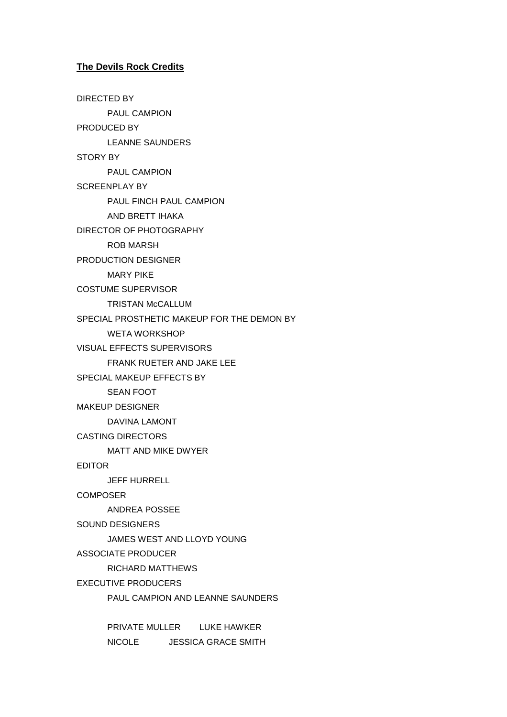# **The Devils Rock Credits**

DIRECTED BY PAUL CAMPION PRODUCED BY LEANNE SAUNDERS STORY BY PAUL CAMPION SCREENPLAY BY PAUL FINCH PAUL CAMPION AND BRETT IHAKA DIRECTOR OF PHOTOGRAPHY ROB MARSH PRODUCTION DESIGNER MARY PIKE COSTUME SUPERVISOR TRISTAN McCALLUM SPECIAL PROSTHETIC MAKEUP FOR THE DEMON BY WETA WORKSHOP VISUAL EFFECTS SUPERVISORS FRANK RUETER AND JAKE LEE SPECIAL MAKEUP EFFECTS BY SEAN FOOT MAKEUP DESIGNER DAVINA LAMONT CASTING DIRECTORS MATT AND MIKE DWYER EDITOR JEFF HURRELL **COMPOSER** ANDREA POSSEE SOUND DESIGNERS JAMES WEST AND LLOYD YOUNG ASSOCIATE PRODUCER RICHARD MATTHEWS EXECUTIVE PRODUCERS PAUL CAMPION AND LEANNE SAUNDERS

> PRIVATE MULLER LUKE HAWKER NICOLE JESSICA GRACE SMITH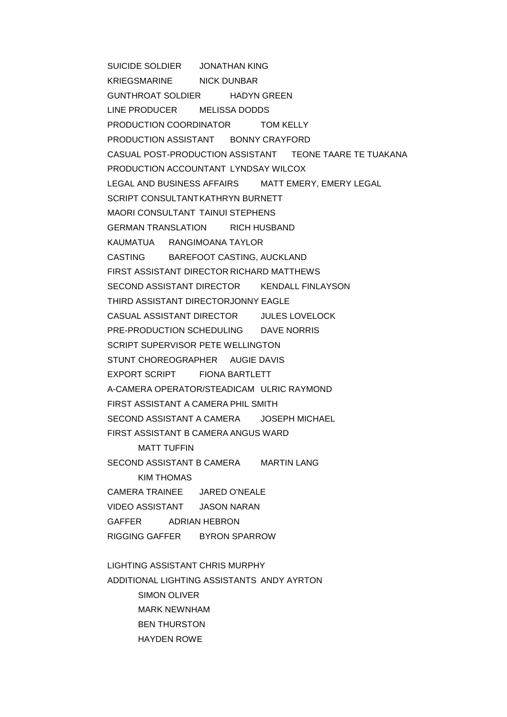SUICIDE SOLDIER JONATHAN KING KRIEGSMARINE NICK DUNBAR GUNTHROAT SOLDIER HADYN GREEN LINE PRODUCER MELISSA DODDS PRODUCTION COORDINATOR TOM KELLY PRODUCTION ASSISTANT BONNY CRAYFORD CASUAL POST-PRODUCTION ASSISTANT TEONE TAARE TE TUAKANA PRODUCTION ACCOUNTANT LYNDSAY WILCOX LEGAL AND BUSINESS AFFAIRS MATT EMERY, EMERY LEGAL SCRIPT CONSULTANTKATHRYN BURNETT MAORI CONSULTANT TAINUI STEPHENS GERMAN TRANSLATION RICH HUSBAND KAUMATUA RANGIMOANA TAYLOR CASTING BAREFOOT CASTING, AUCKLAND FIRST ASSISTANT DIRECTOR RICHARD MATTHEWS SECOND ASSISTANT DIRECTOR KENDALL FINLAYSON THIRD ASSISTANT DIRECTORJONNY EAGLE CASUAL ASSISTANT DIRECTOR JULES LOVELOCK PRE-PRODUCTION SCHEDULING DAVE NORRIS SCRIPT SUPERVISOR PETE WELLINGTON STUNT CHOREOGRAPHER AUGIE DAVIS EXPORT SCRIPT FIONA BARTLETT A-CAMERA OPERATOR/STEADICAM ULRIC RAYMOND FIRST ASSISTANT A CAMERA PHIL SMITH SECOND ASSISTANT A CAMERA JOSEPH MICHAEL FIRST ASSISTANT B CAMERA ANGUS WARD MATT TUFFIN

SECOND ASSISTANT B CAMERA MARTIN LANG KIM THOMAS CAMERA TRAINEE JARED O'NEALE VIDEO ASSISTANT JASON NARAN GAFFER ADRIAN HEBRON RIGGING GAFFER BYRON SPARROW

LIGHTING ASSISTANT CHRIS MURPHY ADDITIONAL LIGHTING ASSISTANTS ANDY AYRTON SIMON OLIVER MARK NEWNHAM BEN THURSTON HAYDEN ROWE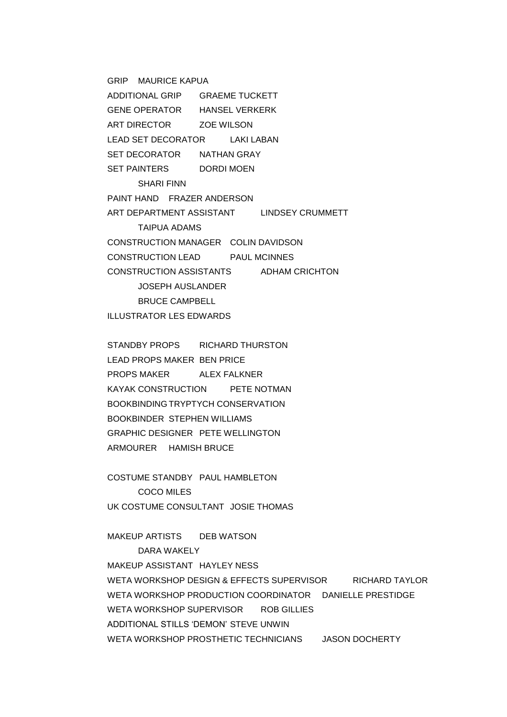GRIP MAURICE KAPUA ADDITIONAL GRIP GRAEME TUCKETT GENE OPERATOR HANSEL VERKERK ART DIRECTOR ZOE WILSON LEAD SET DECORATOR LAKI LABAN SET DECORATOR NATHAN GRAY SET PAINTERS DORDI MOEN SHARI FINN PAINT HAND FRAZER ANDERSON ART DEPARTMENT ASSISTANT LINDSEY CRUMMETT TAIPUA ADAMS CONSTRUCTION MANAGER COLIN DAVIDSON CONSTRUCTION LEAD PAUL MCINNES CONSTRUCTION ASSISTANTS ADHAM CRICHTON JOSEPH AUSLANDER BRUCE CAMPBELL ILLUSTRATOR LES EDWARDS

STANDBY PROPS RICHARD THURSTON LEAD PROPS MAKER BEN PRICE PROPS MAKER ALEX FALKNER KAYAK CONSTRUCTION PETE NOTMAN BOOKBINDING TRYPTYCH CONSERVATION BOOKBINDER STEPHEN WILLIAMS GRAPHIC DESIGNER PETE WELLINGTON ARMOURER HAMISH BRUCE

COSTUME STANDBY PAUL HAMBLETON COCO MILES UK COSTUME CONSULTANT JOSIE THOMAS

MAKEUP ARTISTS DEB WATSON DARA WAKELY MAKEUP ASSISTANT HAYLEY NESS WETA WORKSHOP DESIGN & EFFECTS SUPERVISOR RICHARD TAYLOR WETA WORKSHOP PRODUCTION COORDINATOR DANIELLE PRESTIDGE WETA WORKSHOP SUPERVISOR ROB GILLIES ADDITIONAL STILLS "DEMON" STEVE UNWIN WETA WORKSHOP PROSTHETIC TECHNICIANS JASON DOCHERTY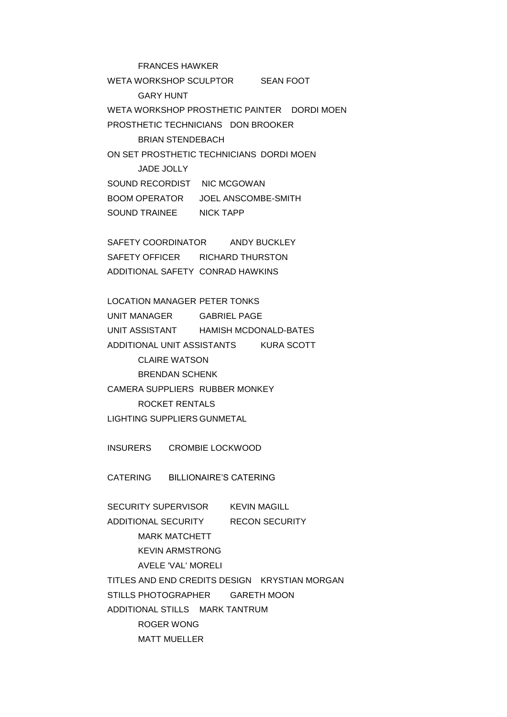FRANCES HAWKER WETA WORKSHOP SCULPTOR SEAN FOOT GARY HUNT WETA WORKSHOP PROSTHETIC PAINTER DORDI MOEN PROSTHETIC TECHNICIANS DON BROOKER BRIAN STENDEBACH ON SET PROSTHETIC TECHNICIANS DORDI MOEN JADE JOLLY SOUND RECORDIST NIC MCGOWAN BOOM OPERATOR JOEL ANSCOMBE-SMITH SOUND TRAINEE NICK TAPP

SAFETY COORDINATOR ANDY BUCKLEY SAFETY OFFICER RICHARD THURSTON ADDITIONAL SAFETY CONRAD HAWKINS

LOCATION MANAGER PETER TONKS UNIT MANAGER GABRIEL PAGE UNIT ASSISTANT HAMISH MCDONALD-BATES ADDITIONAL UNIT ASSISTANTS KURA SCOTT CLAIRE WATSON BRENDAN SCHENK CAMERA SUPPLIERS RUBBER MONKEY ROCKET RENTALS LIGHTING SUPPLIERS GUNMETAL

INSURERS CROMBIE LOCKWOOD

CATERING BILLIONAIRE"S CATERING

SECURITY SUPERVISOR KEVIN MAGILL ADDITIONAL SECURITY RECON SECURITY MARK MATCHETT KEVIN ARMSTRONG AVELE 'VAL' MORELI TITLES AND END CREDITS DESIGN KRYSTIAN MORGAN STILLS PHOTOGRAPHER GARETH MOON ADDITIONAL STILLS MARK TANTRUM ROGER WONG MATT MUELLER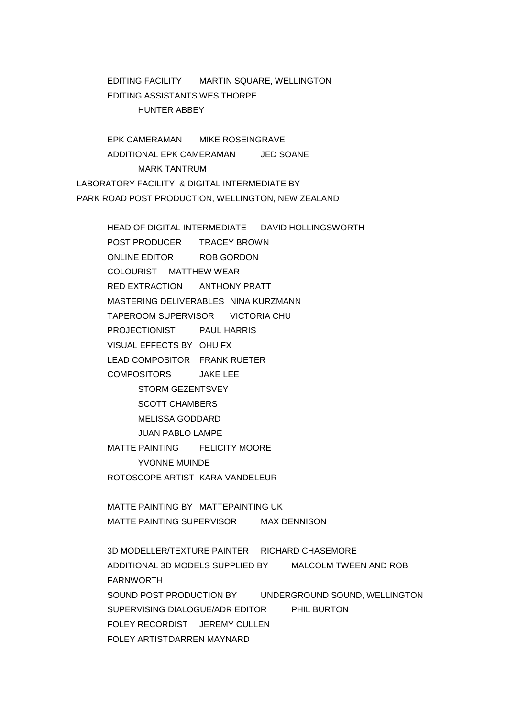EDITING FACILITY MARTIN SQUARE, WELLINGTON EDITING ASSISTANTS WES THORPE HUNTER ABBEY

EPK CAMERAMAN MIKE ROSEINGRAVE ADDITIONAL EPK CAMERAMAN JED SOANE MARK TANTRUM LABORATORY FACILITY & DIGITAL INTERMEDIATE BY PARK ROAD POST PRODUCTION, WELLINGTON, NEW ZEALAND

HEAD OF DIGITAL INTERMEDIATE DAVID HOLLINGSWORTH

POST PRODUCER TRACEY BROWN ONLINE EDITOR ROB GORDON COLOURIST MATTHEW WEAR RED EXTRACTION ANTHONY PRATT MASTERING DELIVERABLES NINA KURZMANN TAPEROOM SUPERVISOR VICTORIA CHU PROJECTIONIST PAUL HARRIS VISUAL EFFECTS BY OHU FX LEAD COMPOSITOR FRANK RUETER COMPOSITORS JAKE LEE STORM GEZENTSVEY SCOTT CHAMBERS MELISSA GODDARD JUAN PABLO LAMPE MATTE PAINTING FELICITY MOORE YVONNE MUINDE ROTOSCOPE ARTIST KARA VANDELEUR MATTE PAINTING BY MATTEPAINTING UK MATTE PAINTING SUPERVISOR MAX DENNISON 3D MODELLER/TEXTURE PAINTER RICHARD CHASEMORE ADDITIONAL 3D MODELS SUPPLIED BY MALCOLM TWEEN AND ROB FARNWORTH SOUND POST PRODUCTION BY UNDERGROUND SOUND, WELLINGTON SUPERVISING DIALOGUE/ADR EDITOR PHIL BURTON FOLEY RECORDIST JEREMY CULLEN

FOLEY ARTISTDARREN MAYNARD